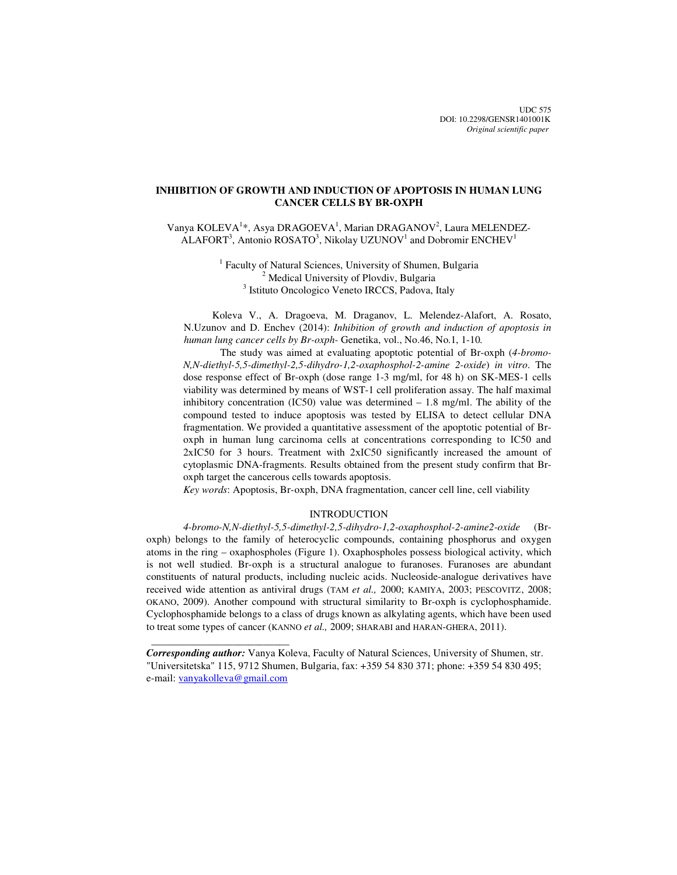UDC 575 DOI: 10.2298/GENSR1401001K *Original scientific paper*

# **INHIBITION OF GROWTH AND INDUCTION OF APOPTOSIS IN HUMAN LUNG CANCER CELLS BY BR-OXPH**

Vanya KOLEVA<sup>1</sup>\*, Asya DRAGOEVA<sup>1</sup>, Marian DRAGANOV<sup>2</sup>, Laura MELENDEZ- $ALAFORT<sup>3</sup>$ , Antonio ROSATO<sup>3</sup>, Nikolay UZUNOV<sup>1</sup> and Dobromir ENCHEV<sup>1</sup>

> <sup>1</sup> Faculty of Natural Sciences, University of Shumen, Bulgaria <sup>2</sup> Medical University of Plovdiv, Bulgaria <sup>3</sup> Istituto Oncologico Veneto IRCCS, Padova, Italy

Koleva V., A. Dragoeva, M. Draganov, L. Melendez-Alafort, A. Rosato, N.Uzunov and D. Enchev (2014): *Inhibition of growth and induction of apoptosis in human lung cancer cells by Br-oxph-* Genetika, vol., No.46, No.1, 1-10*.* 

The study was aimed at evaluating apoptotic potential of Br-oxph (*4-bromo-N,N-diethyl-5,5-dimethyl-2,5-dihydro-1,2-oxaphosphol-2-amine 2-oxide*) *in vitro*. The dose response effect of Br-oxph (dose range 1-3 mg/ml, for 48 h) on SK-MES-1 cells viability was determined by means of WST-1 cell proliferation assay. The half maximal inhibitory concentration (IC50) value was determined  $-1.8$  mg/ml. The ability of the compound tested to induce apoptosis was tested by ELISA to detect cellular DNA fragmentation. We provided a quantitative assessment of the apoptotic potential of Broxph in human lung carcinoma cells at concentrations corresponding to ІС50 and 2хІС50 for 3 hours. Treatment with 2хІС50 significantly increased the amount of cytoplasmic DNA-fragments. Results obtained from the present study confirm that Broxph target the cancerous cells towards apoptosis.

*Key words*: Apoptosis, Br-oxph, DNA fragmentation, cancer cell line, cell viability

### INTRODUCTION

*4-bromo-N,N-diethyl-5,5-dimethyl-2,5-dihydro-1,2-oxaphosphol-2-amine2-oxide* (Broxph) belongs to the family of heterocyclic compounds, containing phosphorus and oxygen atoms in the ring – oxaphospholes (Figure 1). Oxaphospholes possess biological activity, which is not well studied. Br-oxph is a structural analogue to furanoses. Furanoses are abundant constituents of natural products, including nucleic acids. Nucleoside-analogue derivatives have received wide attention as antiviral drugs (TAM *et al.,* 2000; KAMIYA, 2003; PESCOVITZ, 2008; OKANO, 2009). Another compound with structural similarity to Br-oxph is cyclophosphamide. Cyclophosphamide belongs to a class of drugs known as alkylating agents, which have been used to treat some types of cancer (KANNO *et al.,* 2009; SHARABI and HARAN-GHERA, 2011).

 $\frac{1}{\sqrt{2\pi}}\left[\frac{1}{2(1-2\pi)^2}\left(1-\frac{1}{2(1-2\pi)^2}\left(1-\frac{1}{2(1-2\pi)^2}\right)\right)\right],$ 

*Corresponding author:* Vanya Koleva, Faculty of Natural Sciences, University of Shumen, str. "Universitetska" 115, 9712 Shumen, Bulgaria, fax: +359 54 830 371; phone: +359 54 830 495; e-mail: vanyakolleva@gmail.com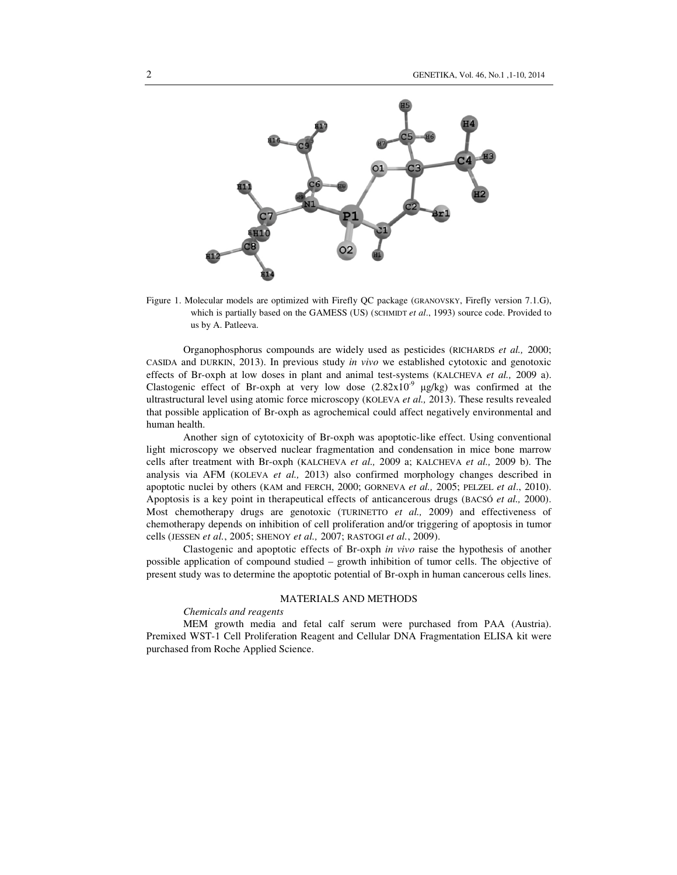

Figure 1. Molecular models are optimized with Firefly QC package (GRANOVSKY, Firefly version 7.1.G), which is partially based on the GAMESS (US) (SCHMIDT *et al.*, 1993) source code. Provided to us by A. Patleeva.

Organophosphorus compounds are widely used as pesticides (RICHARDS *et al.,* 2000; CASIDA and DURKIN, 2013). In previous study *in vivo* we established cytotoxic and genotoxic effects of Br-oxph at low doses in plant and animal test-systems (KALCHEVA *et al.,* 2009 a). Clastogenic effect of Br-oxph at very low dose  $(2.82 \times 10^{-9} \text{ }\mu\text{g/kg})$  was confirmed at the ultrastructural level using atomic force microscopy (KOLEVA *et al.,* 2013). These results revealed that possible application of Br-oxph as agrochemical could affect negatively environmental and human health.

Another sign of cytotoxicity of Br-oxph was apoptotic-like effect. Using conventional light microscopy we observed nuclear fragmentation and condensation in mice bone marrow cells after treatment with Br-oxph (KALCHEVA *et al.,* 2009 a; KALCHEVA *et al.,* 2009 b). The analysis via AFM (KOLEVA *et al.,* 2013) also confirmed morphology changes described in apoptotic nuclei by others (KAM and FERCH, 2000; GORNEVA *et al.,* 2005; PELZEL *et al*., 2010). Apoptosis is a key point in therapeutical effects of anticancerous drugs (BACSÓ *et al.,* 2000). Most chemotherapy drugs are genotoxic (TURINETTO *et al.,* 2009) and effectiveness of chemotherapy depends on inhibition of cell proliferation and/or triggering of apoptosis in tumor cells (JESSEN *et al.*, 2005; SHENOY *et al.,* 2007; RASTOGI *et al.*, 2009).

Clastogenic and apoptotic effects of Br-oxph *in vivo* raise the hypothesis of another possible application of compound studied – growth inhibition of tumor cells. The objective of present study was to determine the apoptotic potential of Br-oxph in human cancerous cells lines.

#### MATERIALS AND METHODS

#### *Chemicals and reagents*

MEM growth media and fetal calf serum were purchased from РАА (Аustria). Premixed WST-1 Cell Proliferation Reagent and Cellular DNA Fragmentation ELISA kit were purchased from Roche Applied Science.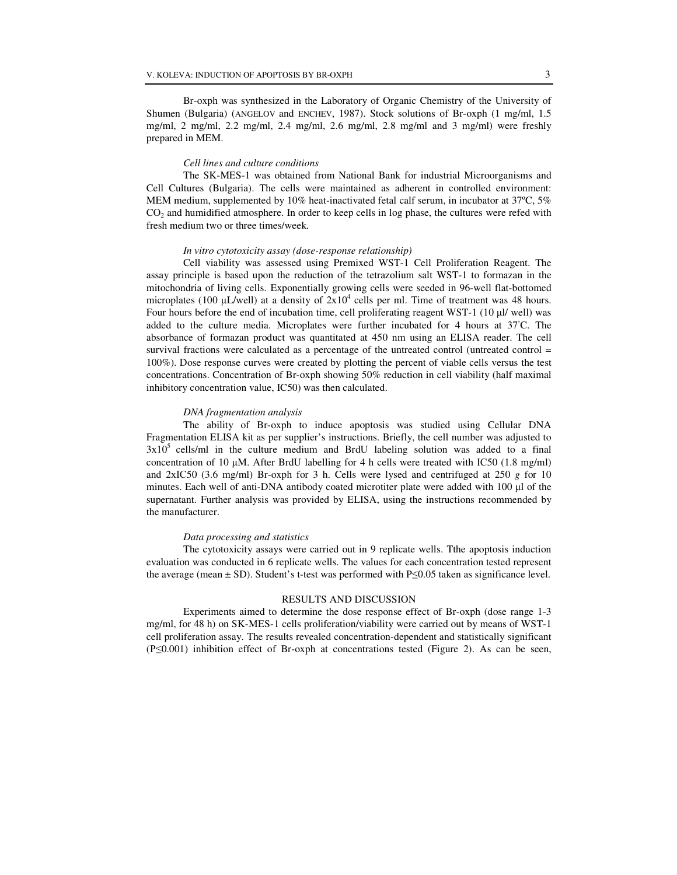Br-oxph was synthesized in the Laboratory of Organic Chemistry of the University of Shumen (Bulgaria) (ANGELOV and ENCHEV, 1987). Stock solutions of Br-oxph (1 mg/ml, 1.5 mg/ml, 2 mg/ml, 2.2 mg/ml, 2.4 mg/ml, 2.6 mg/ml, 2.8 mg/ml and 3 mg/ml) were freshly prepared in MEM.

### *Cell lines and culture conditions*

The SK-MES-1 was obtained from National Bank for industrial Microorganisms and Cell Cultures (Bulgaria). The cells were maintained as adherent in controlled environment: MEM medium, supplemented by 10% heat-inactivated fetal calf serum, in incubator at 37ºC, 5% CO<sub>2</sub> and humidified atmosphere. In order to keep cells in log phase, the cultures were refed with fresh medium two or three times/week.

#### *In vitro cytotoxicity assay (dose-response relationship)*

Cell viability was assessed using Premixed WST-1 Cell Proliferation Reagent. The assay principle is based upon the reduction of the tetrazolium salt WST-1 to formazan in the mitochondria of living cells. Exponentially growing cells were seeded in 96-well flat-bottomed microplates (100  $\mu$ L/well) at a density of  $2x10^4$  cells per ml. Time of treatment was 48 hours. Four hours before the end of incubation time, cell proliferating reagent WST-1 (10 µl/ well) was added to the culture media. Microplates were further incubated for 4 hours at  $37°C$ . The absorbance of formazan product was quantitated at 450 nm using an ELISA reader. The cell survival fractions were calculated as a percentage of the untreated control (untreated control = 100%). Dose response curves were created by plotting the percent of viable cells versus the test concentrations. Concentration of Br-oxph showing 50% reduction in cell viability (half maximal inhibitory concentration value, IC50) was then calculated.

### *DNA fragmentation analysis*

The ability of Br-oxph to induce apoptosis was studied using Cellular DNA Fragmentation ELISA kit as per supplier's instructions. Briefly, the cell number was adjusted to  $3x10<sup>5</sup>$  cells/ml in the culture medium and BrdU labeling solution was added to a final concentration of 10 µM. After BrdU labelling for 4 h cells were treated with ІС50 (1.8 mg/ml) and 2хІС50 (3.6 mg/ml) Br-oxph for 3 h. Cells were lysed and centrifuged at 250 *g* for 10 minutes. Each well of anti-DNA antibody coated microtiter plate were added with 100 µl of the supernatant. Further analysis was provided by ELISA, using the instructions recommended by the manufacturer.

### *Data processing and statistics*

The cytotoxicity assays were carried out in 9 replicate wells. Tthe apoptosis induction evaluation was conducted in 6 replicate wells. The values for each concentration tested represent the average (mean ± SD). Student's t-test was performed with P≤0.05 taken as significance level.

#### RESULTS AND DISCUSSION

Experiments aimed to determine the dose response effect of Br-oxph (dose range 1-3 mg/ml, for 48 h) on SK-MES-1 cells proliferation/viability were carried out by means of WST-1 cell proliferation assay. The results revealed concentration-dependent and statistically significant (Р≤0.001) inhibition effect of Br-oxph at concentrations tested (Figure 2). As can be seen,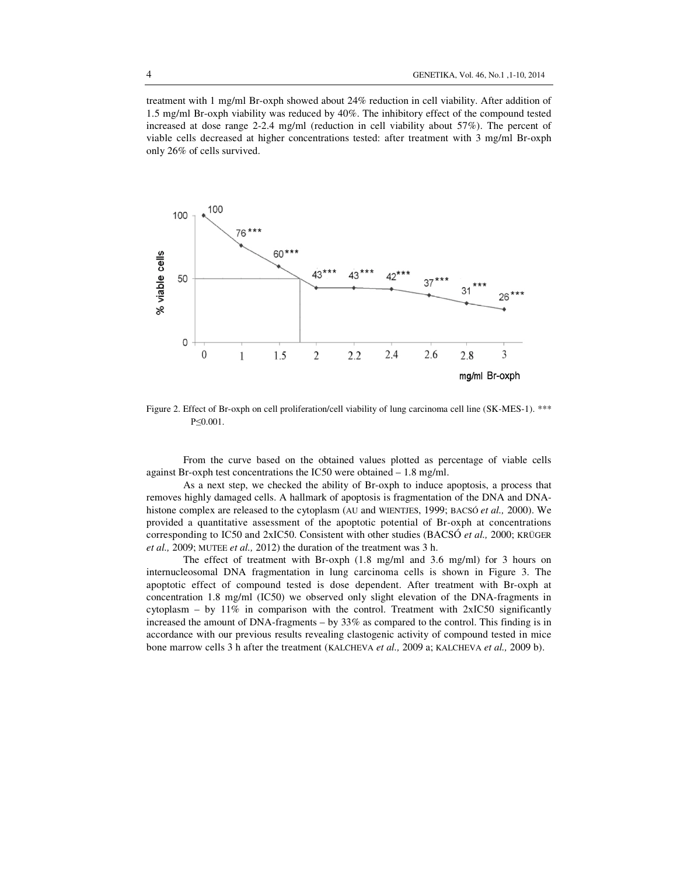treatment with 1 mg/ml Br-oxph showed about 24% reduction in cell viability. After addition of 1.5 mg/ml Br-oxph viability was reduced by 40%. The inhibitory effect of the compound tested increased at dose range 2-2.4 mg/ml (reduction in cell viability about 57%). The percent of viable cells decreased at higher concentrations tested: after treatment with 3 mg/ml Br-oxph only 26% of cells survived.



Figure 2. Effect of Br-oxph on cell proliferation/cell viability of lung carcinoma cell line (SK-MES-1). \*\*\* Р≤0.001.

From the curve based on the obtained values plotted as percentage of viable cells against Br-oxph test concentrations the ІС50 were obtained – 1.8 mg/ml.

As a next step, we checked the ability of Br-oxph to induce apoptosis, a process that removes highly damaged cells. A hallmark of apoptosis is fragmentation of the DNA and DNAhistone complex are released to the cytoplasm (AU and WIENTJES, 1999; BACSÓ *et al.,* 2000). We provided a quantitative assessment of the apoptotic potential of Br-oxph at concentrations corresponding to ІС50 and 2хІС50. Consistent with other studies (BACSÓ *et al.,* 2000; KRÜGER *et al.,* 2009; MUTEE *et al.,* 2012) the duration of the treatment was 3 h.

The effect of treatment with Br-oxph (1.8 mg/ml and 3.6 mg/ml) for 3 hours on internucleosomal DNA fragmentation in lung carcinoma cells is shown in Figure 3. The apoptotic effect of compound tested is dose dependent. After treatment with Br-oxph at concentration 1.8 mg/ml (ІС50) we observed only slight elevation of the DNA-fragments in cytoplasm – by  $11\%$  in comparison with the control. Treatment with 2xIC50 significantly increased the amount of DNA-fragments – by  $33\%$  as compared to the control. This finding is in accordance with our previous results revealing clastogenic activity of compound tested in mice bone marrow cells 3 h after the treatment (KALCHEVA *et al.,* 2009 a; KALCHEVA *et al.,* 2009 b).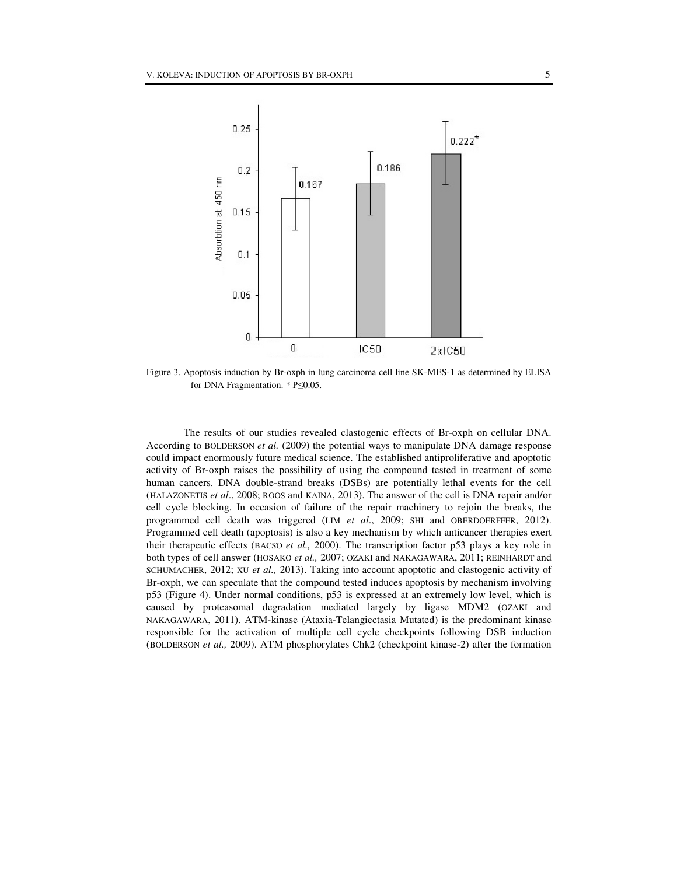

Figure 3. Apoptosis induction by Br-oxph in lung carcinoma cell line SK-MES-1 as determined by ELISA for DNA Fragmentation. \* P≤0.05.

The results of our studies revealed clastogenic effects of Br-oxph on cellular DNA. According to BOLDERSON *et al.* (2009) the potential ways to manipulate DNA damage response could impact enormously future medical science. The established antiproliferative and apoptotic activity of Br-oxph raises the possibility of using the compound tested in treatment of some human cancers. DNA double-strand breaks (DSBs) are potentially lethal events for the cell (HALAZONETIS *et al*., 2008; ROOS and KAINA, 2013). The answer of the cell is DNA repair and/or cell cycle blocking. In occasion of failure of the repair machinery to rejoin the breaks, the programmed cell death was triggered (LIM *et al*., 2009; SHI and OBERDOERFFER, 2012). Programmed cell death (apoptosis) is also a key mechanism by which anticancer therapies exert their therapeutic effects (BACSΌ *et al.,* 2000). The transcription factor р53 plays a key role in both types of cell answer (HOSAKO *et al.,* 2007; OZAKI and NAKAGAWARA, 2011; REINHARDT and SCHUMACHER, 2012; XU *et al.,* 2013). Taking into account apoptotic and clastogenic activity of Br-oxph, we can speculate that the compound tested induces apoptosis by mechanism involving р53 (Figure 4). Under normal conditions, p53 is expressed at an extremely low level, which is caused by proteasomal degradation mediated largely by ligase MDM2 (OZAKI and NAKAGAWARA, 2011). ATM-kinase (Ataxia-Telangiectasia Mutated) is the predominant kinase responsible for the activation of multiple cell cycle checkpoints following DSB induction (BOLDERSON *et al.,* 2009). ATM phosphorylates Chk2 (checkpoint kinase-2) after the formation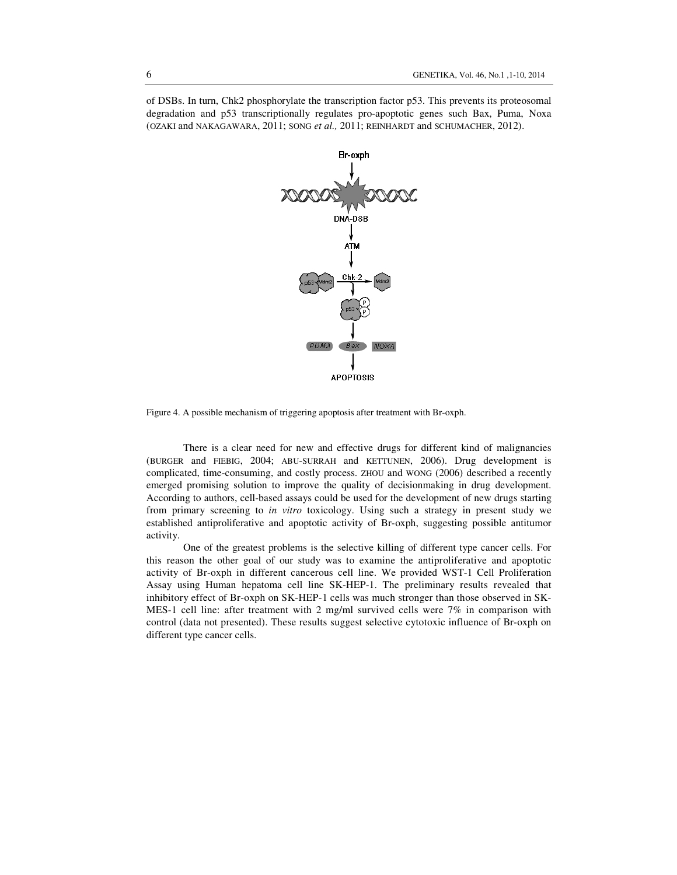of DSBs. In turn, Chk2 phosphorylate the transcription factor p53. This prevents its proteosomal degradation and p53 transcriptionally regulates pro-apoptotic genes such Bax, Puma, Noxa (OZAKI and NAKAGAWARA, 2011; SONG *et al.,* 2011; REINHARDT and SCHUMACHER, 2012).



Figure 4. A possible mechanism of triggering apoptosis after treatment with Br-oxph.

There is a clear need for new and effective drugs for different kind of malignancies (BURGER and FIEBIG, 2004; ABU-SURRAH and KETTUNEN, 2006). Drug development is complicated, time-consuming, and costly process. ZHOU and WONG (2006) described a recently emerged promising solution to improve the quality of decisionmaking in drug development. According to authors, cell-based assays could be used for the development of new drugs starting from primary screening to *in vitro* toxicology. Using such a strategy in present study we established antiproliferative and apoptotic activity of Br-oxph, suggesting possible antitumor activity.

One of the greatest problems is the selective killing of different type cancer cells. For this reason the other goal of our study was to examine the antiproliferative and apoptotic activity of Br-oxph in different cancerous cell line. We provided WST-1 Cell Proliferation Assay using Human hepatoma cell line SK-HEP-1. The preliminary results revealed that inhibitory effect of Br-oxph on SK-HEP-1 cells was much stronger than those observed in SK-MES-1 cell line: after treatment with 2 mg/ml survived cells were  $7\%$  in comparison with control (data not presented). These results suggest selective cytotoxic influence of Br-oxph on different type cancer cells.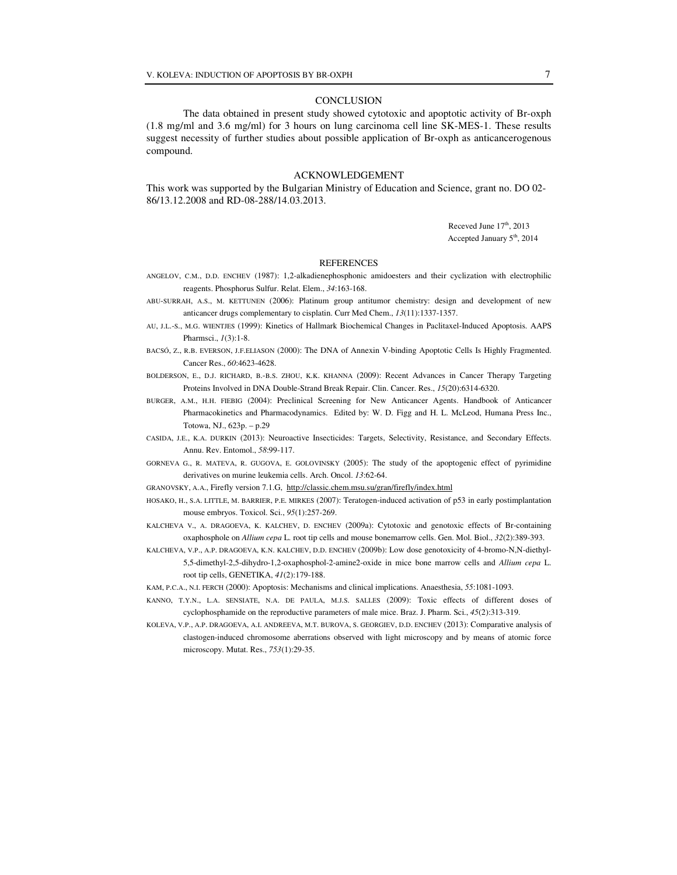#### **CONCLUSION**

The data obtained in present study showed cytotoxic and apoptotic activity of Br-oxph (1.8 mg/ml and 3.6 mg/ml) for 3 hours on lung carcinoma cell line SK-MES-1. These results suggest necessity of further studies about possible application of Br-oxph as anticancerogenous compound.

### ACKNOWLEDGEMENT

This work was supported by the Bulgarian Ministry of Education and Science, grant no. DO 02- 86/13.12.2008 and RD-08-288/14.03.2013.

> Receved June 17<sup>th</sup>, 2013 Accepted January 5<sup>th</sup>, 2014

#### **REFERENCES**

- ANGELOV, C.M., D.D. ЕNCHEV (1987): 1,2-alkadienephosphonic amidoesters and their cyclization with electrophilic reagents. Phosphorus Sulfur. Relat. Elem., *34*:163-168.
- ABU-SURRAH, A.S., M. KETTUNEN (2006): Platinum group antitumor chemistry: design and development of new anticancer drugs complementary to cisplatin. Curr Med Chem., *13*(11):1337-1357.
- AU, J.L.-S., M.G. WIENTJES (1999): Kinetics of Hallmark Biochemical Changes in Paclitaxel-Induced Apoptosis. AAPS Pharmsci., *1*(3):1-8.
- BACSÓ, Z., R.B. EVERSON, J.F.ELIASON (2000): The DNA of Annexin V-binding Apoptotic Cells Is Highly Fragmented. Cancer Res., *60*:4623-4628.
- BOLDERSON, E., D.J. RICHARD, B.-B.S. ZHOU, K.K. KHANNA (2009): Recent Advances in Cancer Therapy Targeting Proteins Involved in DNA Double-Strand Break Repair. Clin. Cancer. Res., *15*(20):6314-6320.
- BURGER, A.M., H.H. FIEBIG (2004): Preclinical Screening for New Anticancer Agents. Handbook of Anticancer Pharmacokinetics and Pharmacodynamics. Edited by: W. D. Figg and H. L. McLeod, Humana Press Inc., Totowa, NJ., 623p. – p.29
- CASIDA, J.E., K.A. DURKIN (2013): Neuroactive Insecticides: Targets, Selectivity, Resistance, and Secondary Effects. Annu. Rev. Entomol., *58*:99-117.
- GORNEVA G., R. MATEVA, R. GUGOVA, E. GOLOVINSKY (2005): The study of the apoptogenic effect of pyrimidine derivatives on murine leukemia cells. Arch. Oncol. *13*:62-64.
- GRANOVSKY, A.A., Firefly version 7.1.G, http://classic.chem.msu.su/gran/firefly/index.html
- HOSAKO, H., S.A. LITTLE, M. BARRIER, P.E. MIRKES (2007): Teratogen-induced activation of p53 in early postimplantation mouse embryos. Toxicol. Sci., *95*(1):257-269.
- KALCHEVA V., A. DRAGOEVA, K. KALCHEV, D. ENCHEV (2009a): Cytotoxic and genotoxic effects of Br-containing oxaphosphole on *Allium cepa* L. root tip cells and mouse bonemarrow cells. Gen. Mol. Biol., *32*(2):389-393.
- KALCHEVA, V.P., A.P. DRAGOEVA, K.N. KALCHEV, D.D. ENCHEV (2009b): Low dose genotoxicity of 4-bromo-N,N-diethyl-5,5-dimethyl-2,5-dihydro-1,2-oxaphosphol-2-amine2-oxide in mice bone marrow cells and *Allium cepa* L. root tip cells, GENETIKA, *41*(2):179-188.
- KAM, P.C.A., N.I. FERCH (2000): Apoptosis: Mechanisms and clinical implications. Anaesthesia, *55*:1081-1093.
- KANNO, T.Y.N., L.A. SENSIATE, N.A. DE PAULA, M.J.S. SALLES (2009): Toxic effects of different doses of cyclophosphamide on the reproductive parameters of male mice. Braz. J. Pharm. Sci., *45*(2):313-319.
- KOLEVA, V.P., A.P. DRAGOEVA, A.I. ANDREEVA, M.T. BUROVA, S. GEORGIEV, D.D. ENCHEV (2013): Comparative analysis of clastogen-induced chromosome aberrations observed with light microscopy and by means of atomic force microscopy. Mutat. Res., *753*(1):29-35.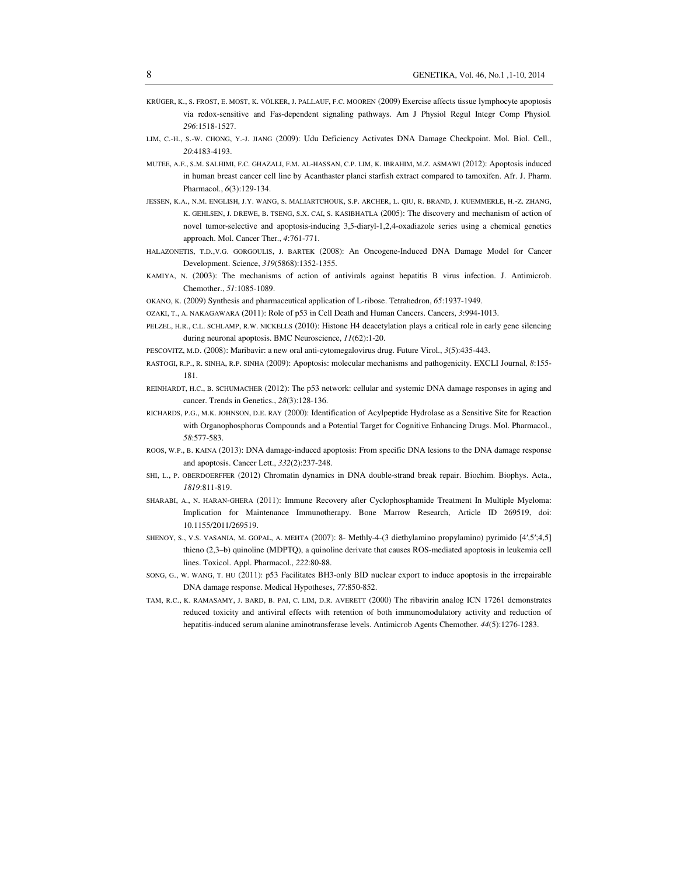- KRÜGER, K., S. FROST, E. MOST, K. VÖLKER, J. PALLAUF, F.C. MOOREN (2009) Exercise affects tissue lymphocyte apoptosis via redox-sensitive and Fas-dependent signaling pathways. Am J Physiol Regul Integr Comp Physiol*. 296*:1518-1527.
- LIM, C.-H., S.-W. CHONG, Y.-J. JIANG (2009): Udu Deficiency Activates DNA Damage Checkpoint. Mol. Biol. Cell., *20*:4183-4193.
- MUTEE, A.F., S.M. SALHIMI, F.C. GHAZALI, F.M. AL-HASSAN, C.P. LIM, K. IBRAHIM, M.Z. ASMAWI (2012): Apoptosis induced in human breast cancer cell line by Acanthaster planci starfish extract compared to tamoxifen. Afr. J. Pharm. Pharmacol., *6*(3):129-134.
- JESSEN, K.A., N.M. ENGLISH, J.Y. WANG, S. MALIARTCHOUK, S.P. ARCHER, L. QIU, R. BRAND, J. KUEMMERLE, H.-Z. ZHANG, K. GEHLSEN, J. DREWE, B. TSENG, S.X. CAI, S. KASIBHATLA (2005): The discovery and mechanism of action of novel tumor-selective and apoptosis-inducing 3,5-diaryl-1,2,4-oxadiazole series using a chemical genetics approach. Mol. Cancer Ther., *4*:761-771.
- HALAZONETIS, T.D.,V.G. GORGOULIS, J. BARTEK (2008): An Oncogene-Induced DNA Damage Model for Cancer Development. Science, *319*(5868):1352-1355.
- KAMIYA, N. (2003): The mechanisms of action of antivirals against hepatitis B virus infection. J. Antimicrob. Chemother., *51*:1085-1089.
- OKANO, K. (2009) Synthesis and pharmaceutical application of L-ribose. Tetrahedron, *65*:1937-1949.
- OZAKI, T., A. NAKAGAWARA (2011): Role of p53 in Cell Death and Human Cancers. Cancers, *3*:994-1013.
- PELZEL, H.R., C.L. SCHLAMP, R.W. NICKELLS (2010): Histone H4 deacetylation plays a critical role in early gene silencing during neuronal apoptosis. BMC Neuroscience, *11*(62):1-20.
- PESCOVITZ, M.D. (2008): Maribavir: a new oral anti-cytomegalovirus drug. Future Virol., *3*(5):435-443.
- RASTOGI, R.P., R. SINHA, R.P. SINHA (2009): Apoptosis: molecular mechanisms and pathogenicity. EXCLI Journal, *8*:155- 181.
- REINHARDT, H.C., B. SCHUMACHER (2012): The p53 network: cellular and systemic DNA damage responses in aging and cancer. Trends in Genetics., *28*(3):128-136.
- RICHARDS, P.G., M.K. JOHNSON, D.E. RAY (2000): Identification of Acylpeptide Hydrolase as a Sensitive Site for Reaction with Organophosphorus Compounds and a Potential Target for Cognitive Enhancing Drugs. Mol. Pharmacol., *58*:577-583.
- ROOS, W.P., B. KAINA (2013): DNA damage-induced apoptosis: From specific DNA lesions to the DNA damage response and apoptosis. Cancer Lett., *332*(2):237-248.
- SHI, L., P. OBERDOERFFER (2012) Chromatin dynamics in DNA double-strand break repair. Biochim. Biophys. Acta., *1819*:811-819.
- SHARABI, A., N. HARAN-GHERA (2011): Immune Recovery after Cyclophosphamide Treatment In Multiple Myeloma: Implication for Maintenance Immunotherapy. Bone Marrow Research, Article ID 269519, doi: 10.1155/2011/269519.
- SHENOY, S., V.S. VASANIA, M. GOPAL, A. MEHTA (2007): 8- Methly-4-(3 diethylamino propylamino) pyrimido [4′,5′;4,5] thieno (2,3–b) quinoline (MDPTQ), a quinoline derivate that causes ROS-mediated apoptosis in leukemia cell lines. Toxicol. Appl. Pharmacol., *222*:80-88.
- SONG, G., W. WANG, T. HU (2011): p53 Facilitates BH3-only BID nuclear export to induce apoptosis in the irrepairable DNA damage response. Medical Hypotheses, *77*:850-852.
- TAM, R.C., K. RAMASAMY, J. BARD, B. PAI, C. LIM, D.R. AVERETT (2000) The ribavirin analog ICN 17261 demonstrates reduced toxicity and antiviral effects with retention of both immunomodulatory activity and reduction of hepatitis-induced serum alanine aminotransferase levels. Antimicrob Agents Chemother. *44*(5):1276-1283.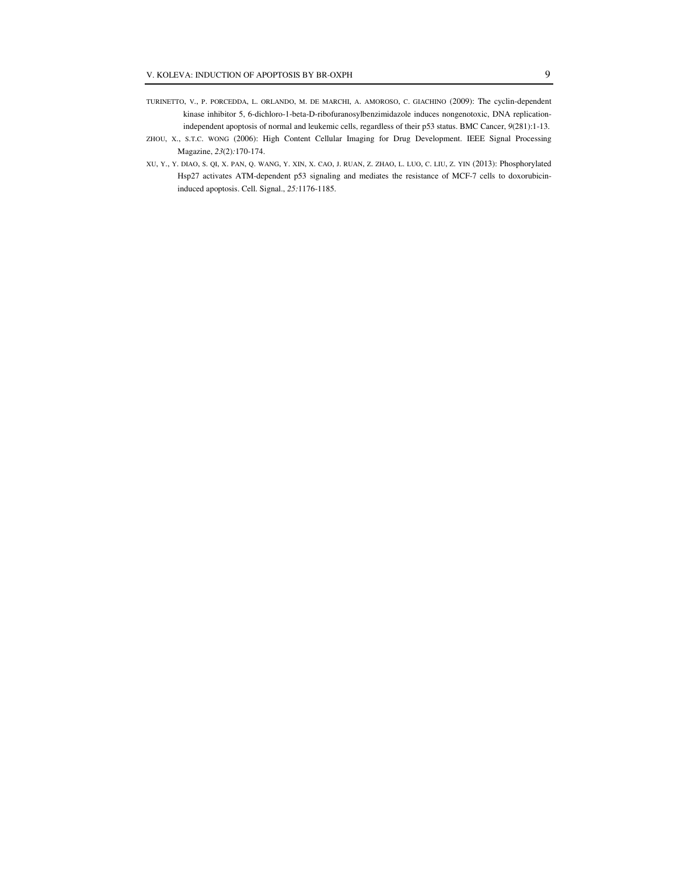- TURINETTO, V., P. PORCEDDA, L. ORLANDO, M. DE MARCHI, A. AMOROSO, C. GIACHINO (2009): The cyclin-dependent kinase inhibitor 5, 6-dichloro-1-beta-D-ribofuranosylbenzimidazole induces nongenotoxic, DNA replicationindependent apoptosis of normal and leukemic cells, regardless of their p53 status. BMC Cancer, *9*(281):1-13.
- ZHOU, X., S.T.C. WONG (2006): High Content Cellular Imaging for Drug Development. IEEE Signal Processing Magazine, *23*(2)*:*170-174.
- XU, Y., Y. DIAO, S. QI, X. PAN, Q. WANG, Y. XIN, X. CAO, J. RUAN, Z. ZHAO, L. LUO, C. LIU, Z. YIN (2013): Phosphorylated Hsp27 activates ATM-dependent p53 signaling and mediates the resistance of MCF-7 cells to doxorubicininduced apoptosis. Cell. Signal., *25:*1176-1185.